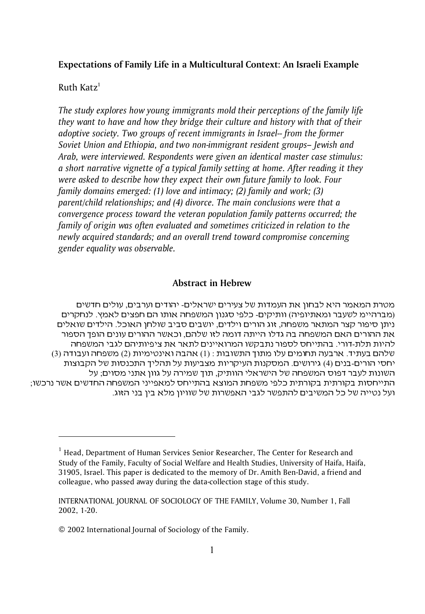## **Expectations of Family Life in a Multicultural Context: An Israeli Example**

## Ruth  $Katz<sup>1</sup>$

*The study explores how young immigrants mold their perceptions of the family life they want to have and how they bridge their culture and history with that of their adoptive society. Two groups of recent immigrants in Israel-- from the former Soviet Union and Ethiopia, and two non-immigrant resident groups-- Jewish and Arab, were interviewed. Respondents were given an identical master case stimulus: a short narrative vignette of a typical family setting at home. After reading it they were asked to describe how they expect their own future family to look. Four family domains emerged: (1) love and intimacy; (2) family and work; (3) parent/child relationships; and (4) divorce. The main conclusions were that a convergence process toward the veteran population family patterns occurred; the family of origin was often evaluated and sometimes criticized in relation to the newly acquired standards; and an overall trend toward compromise concerning gender equality was observable.*

## **Abstract in Hebrew**

. מטרת המאמר היא לבחון את העמדות של צעירים ישראלים- יהודים וערבים, עולים חדשים (מברהיימ לשעבר ומאתיופיה) וותיקים- כלפי סגנון המשפחה אותו הם חפצים לאמץ. לנחקרים . ניתן סיפור קצר המתאר משפחה, זוג הורים וילדים, יושבים סביב שולחן האוכל. הילדים שואלים את ההורים האם המשפחה בה גדלו הייתה דומה לזו שלהם, וכאשר ההורים עונים הופך הספור להיות תלת-דורי. בהתייחס לספור נתבקשו המרואיינים לתאר את ציפיותיהם לגבי המשפחה (3) שלהם בעתיד. ארבעה תחומים עלו מתוך התשובות : (1) אהבה ואינטימיות (2) משפחה ועבודה (3) יחסי הורים-בנים (4) גירושים. המסקנות העיקריות מצביעות על תהליך התכנסות של הקבוצות השונות לעבר דפוס המשפחה של הישראלי הוותיק, תוך שמירה על גוון אתני מסוים; על התייחסות בקורתית בקורתית כלפי משפחת המוצא בהתייחס למאפייני המשפחה החדשים אשר נרכשו: . ועל נטייה של כל המשיבים להתפשר לגבי האפשרות של שוויון מלא בין בני הזוג.

 $^1$  Head, Department of Human Services Senior Researcher, The Center for Research and Study of the Family, Faculty of Social Welfare and Health Studies, University of Haifa, Haifa, 31905, Israel. This paper is dedicated to the memory of Dr. Amith Ben-David, a friend and colleague, who passed away during the data-collection stage of this study.

INTERNATIONAL JOURNAL OF SOCIOLOGY OF THE FAMILY, Volume 30, Number 1, Fall 2002, 1-20.

<sup>© 2002</sup> International Journal of Sociology of the Family.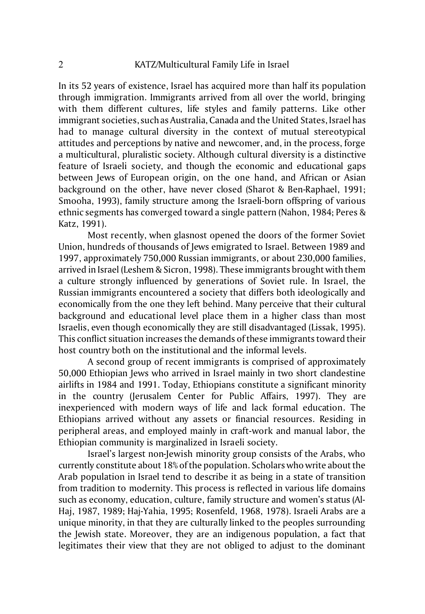In its 52 years of existence, Israel has acquired more than half its population through immigration. Immigrants arrived from all over the world, bringing with them different cultures, life styles and family patterns. Like other immigrant societies, such as Australia, Canada and the United States, Israel has had to manage cultural diversity in the context of mutual stereotypical attitudes and perceptions by native and newcomer, and, in the process, forge a multicultural, pluralistic society. Although cultural diversity is a distinctive feature of Israeli society, and though the economic and educational gaps between Jews of European origin, on the one hand, and African or Asian background on the other, have never closed (Sharot & Ben-Raphael, 1991; Smooha, 1993), family structure among the Israeli-born offspring of various ethnic segments has converged toward a single pattern (Nahon, 1984; Peres & Katz, 1991).

Most recently, when glasnost opened the doors of the former Soviet Union, hundreds of thousands of Jews emigrated to Israel. Between 1989 and 1997, approximately 750,000 Russian immigrants, or about 230,000 families, arrived in Israel (Leshem & Sicron, 1998). These immigrants brought with them a culture strongly influenced by generations of Soviet rule. In Israel, the Russian immigrants encountered a society that differs both ideologically and economically from the one they left behind. Many perceive that their cultural background and educational level place them in a higher class than most Israelis, even though economically they are still disadvantaged (Lissak, 1995). This conflict situation increases the demands of these immigrants toward their host country both on the institutional and the informal levels.

A second group of recent immigrants is comprised of approximately 50,000 Ethiopian Jews who arrived in Israel mainly in two short clandestine airlifts in 1984 and 1991. Today, Ethiopians constitute a significant minority in the country (Jerusalem Center for Public Affairs, 1997). They are inexperienced with modern ways of life and lack formal education. The Ethiopians arrived without any assets or financial resources. Residing in peripheral areas, and employed mainly in craft-work and manual labor, the Ethiopian community is marginalized in Israeli society.

Israel's largest non-Jewish minority group consists of the Arabs, who currently constitute about 18% of the population. Scholars who write about the Arab population in Israel tend to describe it as being in a state of transition from tradition to modernity. This process is reflected in various life domains such as economy, education, culture, family structure and women's status (Al-Haj, 1987, 1989; Haj-Yahia, 1995; Rosenfeld, 1968, 1978). Israeli Arabs are a unique minority, in that they are culturally linked to the peoples surrounding the Jewish state. Moreover, they are an indigenous population, a fact that legitimates their view that they are not obliged to adjust to the dominant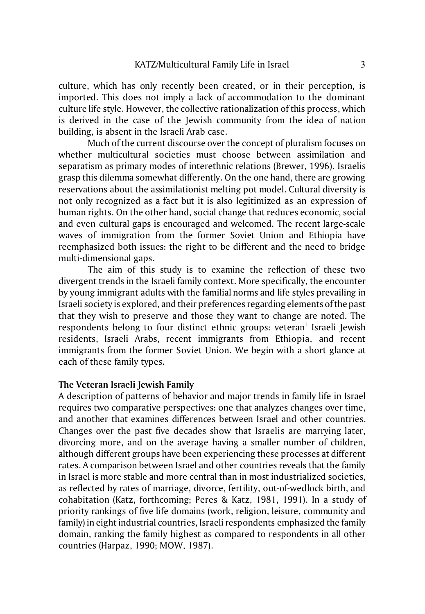culture, which has only recently been created, or in their perception, is imported. This does not imply a lack of accommodation to the dominant culture life style. However, the collective rationalization of this process, which is derived in the case of the Jewish community from the idea of nation building, is absent in the Israeli Arab case.

Much of the current discourse over the concept of pluralism focuses on whether multicultural societies must choose between assimilation and separatism as primary modes of interethnic relations (Brewer, 1996). Israelis grasp this dilemma somewhat differently. On the one hand, there are growing reservations about the assimilationist melting pot model. Cultural diversity is not only recognized as a fact but it is also legitimized as an expression of human rights. On the other hand, social change that reduces economic, social and even cultural gaps is encouraged and welcomed. The recent large-scale waves of immigration from the former Soviet Union and Ethiopia have reemphasized both issues: the right to be different and the need to bridge multi-dimensional gaps.

The aim of this study is to examine the reflection of these two divergent trends in the Israeli family context. More specifically, the encounter by young immigrant adults with the familial norms and life styles prevailing in Israeli society is explored, and their preferences regarding elements of the past that they wish to preserve and those they want to change are noted. The respondents belong to four distinct ethnic groups: veteran<sup>1</sup> Israeli Jewish residents, Israeli Arabs, recent immigrants from Ethiopia, and recent immigrants from the former Soviet Union. We begin with a short glance at each of these family types.

## **The Veteran Israeli Jewish Family**

A description of patterns of behavior and major trends in family life in Israel requires two comparative perspectives: one that analyzes changes over time, and another that examines differences between Israel and other countries. Changes over the past five decades show that Israelis are marrying later, divorcing more, and on the average having a smaller number of children, although different groups have been experiencing these processes at different rates. A comparison between Israel and other countries reveals that the family in Israel is more stable and more central than in most industrialized societies, as reflected by rates of marriage, divorce, fertility, out-of-wedlock birth, and cohabitation (Katz, forthcoming; Peres & Katz, 1981, 1991). In a study of priority rankings of five life domains (work, religion, leisure, community and family) in eight industrial countries, Israeli respondents emphasized the family domain, ranking the family highest as compared to respondents in all other countries (Harpaz, 1990; MOW, 1987).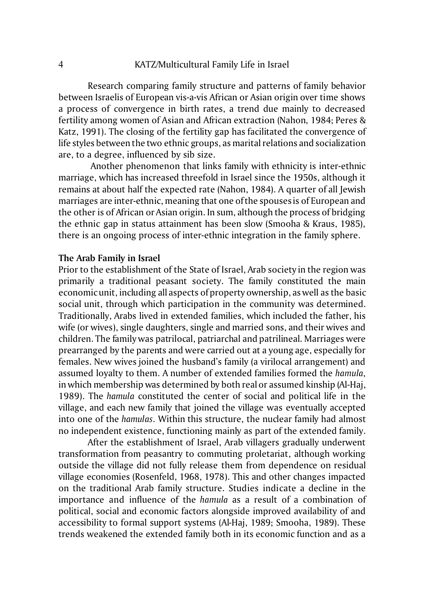Research comparing family structure and patterns of family behavior between Israelis of European vis-a-vis African or Asian origin over time shows a process of convergence in birth rates, a trend due mainly to decreased fertility among women of Asian and African extraction (Nahon, 1984; Peres & Katz, 1991). The closing of the fertility gap has facilitated the convergence of life styles between the two ethnic groups, as marital relations and socialization are, to a degree, influenced by sib size.

 Another phenomenon that links family with ethnicity is inter-ethnic marriage, which has increased threefold in Israel since the 1950s, although it remains at about half the expected rate (Nahon, 1984). A quarter of all Jewish marriages are inter-ethnic, meaning that one of the spouses is of European and the other is of African or Asian origin. In sum, although the process of bridging the ethnic gap in status attainment has been slow (Smooha & Kraus, 1985), there is an ongoing process of inter-ethnic integration in the family sphere.

## **The Arab Family in Israel**

Prior to the establishment of the State of Israel, Arab society in the region was primarily a traditional peasant society. The family constituted the main economic unit, including all aspects of property ownership, as well as the basic social unit, through which participation in the community was determined. Traditionally, Arabs lived in extended families, which included the father, his wife (or wives), single daughters, single and married sons, and their wives and children. The family was patrilocal, patriarchal and patrilineal. Marriages were prearranged by the parents and were carried out at a young age, especially for females. New wives joined the husband's family (a virilocal arrangement) and assumed loyalty to them. A number of extended families formed the *hamula*, in which membership was determined by both real or assumed kinship (Al-Haj, 1989). The *hamula* constituted the center of social and political life in the village, and each new family that joined the village was eventually accepted into one of the *hamulas*. Within this structure, the nuclear family had almost no independent existence, functioning mainly as part of the extended family.

After the establishment of Israel, Arab villagers gradually underwent transformation from peasantry to commuting proletariat, although working outside the village did not fully release them from dependence on residual village economies (Rosenfeld, 1968, 1978). This and other changes impacted on the traditional Arab family structure. Studies indicate a decline in the importance and influence of the *hamula* as a result of a combination of political, social and economic factors alongside improved availability of and accessibility to formal support systems (Al-Haj, 1989; Smooha, 1989). These trends weakened the extended family both in its economic function and as a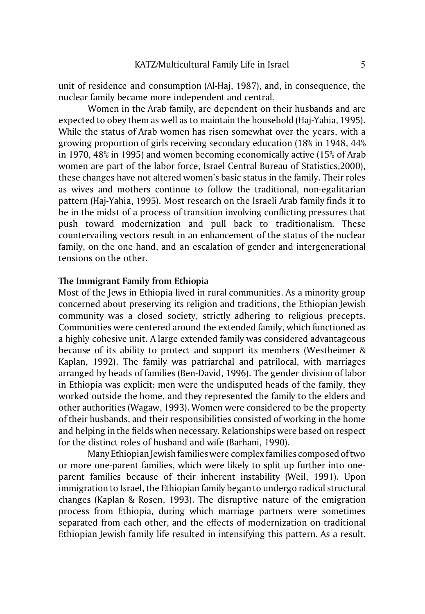unit of residence and consumption (Al-Haj, 1987), and, in consequence, the nuclear family became more independent and central.

Women in the Arab family, are dependent on their husbands and are expected to obey them as well as to maintain the household (Haj-Yahia, 1995). While the status of Arab women has risen somewhat over the years, with a growing proportion of girls receiving secondary education (18% in 1948, 44% in 1970, 48% in 1995) and women becoming economically active (15% of Arab women are part of the labor force, Israel Central Bureau of Statistics,2000), these changes have not altered women's basic status in the family. Their roles as wives and mothers continue to follow the traditional, non-egalitarian pattern (Haj-Yahia, 1995). Most research on the Israeli Arab family finds it to be in the midst of a process of transition involving conflicting pressures that push toward modernization and pull back to traditionalism. These countervailing vectors result in an enhancement of the status of the nuclear family, on the one hand, and an escalation of gender and intergenerational tensions on the other.

## **The Immigrant Family from Ethiopia**

Most of the Jews in Ethiopia lived in rural communities. As a minority group concerned about preserving its religion and traditions, the Ethiopian Jewish community was a closed society, strictly adhering to religious precepts. Communities were centered around the extended family, which functioned as a highly cohesive unit. A large extended family was considered advantageous because of its ability to protect and support its members (Westheimer & Kaplan, 1992). The family was patriarchal and patrilocal, with marriages arranged by heads of families (Ben-David, 1996). The gender division of labor in Ethiopia was explicit: men were the undisputed heads of the family, they worked outside the home, and they represented the family to the elders and other authorities (Wagaw, 1993). Women were considered to be the property of their husbands, and their responsibilities consisted of working in the home and helping in the fields when necessary. Relationships were based on respect for the distinct roles of husband and wife (Barhani, 1990).

Many Ethiopian Jewish families were complex families composed of two or more one-parent families, which were likely to split up further into oneparent families because of their inherent instability (Weil, 1991). Upon immigration to Israel, the Ethiopian family began to undergo radical structural changes (Kaplan & Rosen, 1993). The disruptive nature of the emigration process from Ethiopia, during which marriage partners were sometimes separated from each other, and the effects of modernization on traditional Ethiopian Jewish family life resulted in intensifying this pattern. As a result,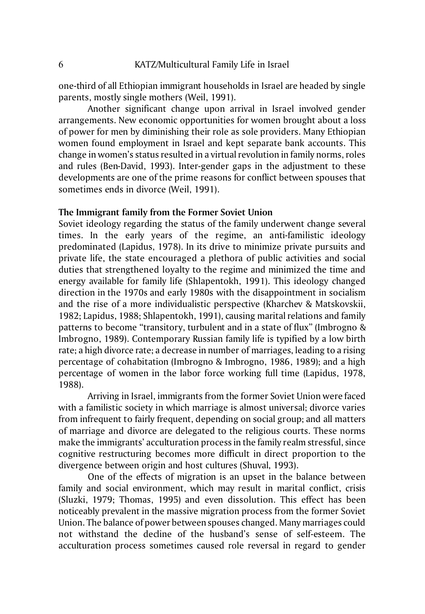one-third of all Ethiopian immigrant households in Israel are headed by single parents, mostly single mothers (Weil, 1991).

Another significant change upon arrival in Israel involved gender arrangements. New economic opportunities for women brought about a loss of power for men by diminishing their role as sole providers. Many Ethiopian women found employment in Israel and kept separate bank accounts. This change in women's status resulted in a virtual revolution in family norms, roles and rules (Ben-David, 1993). Inter-gender gaps in the adjustment to these developments are one of the prime reasons for conflict between spouses that sometimes ends in divorce (Weil, 1991).

# **The Immigrant family from the Former Soviet Union**

Soviet ideology regarding the status of the family underwent change several times. In the early years of the regime, an anti-familistic ideology predominated (Lapidus, 1978). In its drive to minimize private pursuits and private life, the state encouraged a plethora of public activities and social duties that strengthened loyalty to the regime and minimized the time and energy available for family life (Shlapentokh, 1991). This ideology changed direction in the 1970s and early 1980s with the disappointment in socialism and the rise of a more individualistic perspective (Kharchev & Matskovskii, 1982; Lapidus, 1988; Shlapentokh, 1991), causing marital relations and family patterns to become "transitory, turbulent and in a state of flux" (Imbrogno & Imbrogno, 1989). Contemporary Russian family life is typified by a low birth rate; a high divorce rate; a decrease in number of marriages, leading to a rising percentage of cohabitation (Imbrogno & Imbrogno, 1986, 1989); and a high percentage of women in the labor force working full time (Lapidus, 1978, 1988).

Arriving in Israel, immigrants from the former Soviet Union were faced with a familistic society in which marriage is almost universal; divorce varies from infrequent to fairly frequent, depending on social group; and all matters of marriage and divorce are delegated to the religious courts. These norms make the immigrants' acculturation process in the family realm stressful, since cognitive restructuring becomes more difficult in direct proportion to the divergence between origin and host cultures (Shuval, 1993).

One of the effects of migration is an upset in the balance between family and social environment, which may result in marital conflict, crisis (Sluzki, 1979; Thomas, 1995) and even dissolution. This effect has been noticeably prevalent in the massive migration process from the former Soviet Union. The balance of power between spouses changed. Many marriages could not withstand the decline of the husband's sense of self-esteem. The acculturation process sometimes caused role reversal in regard to gender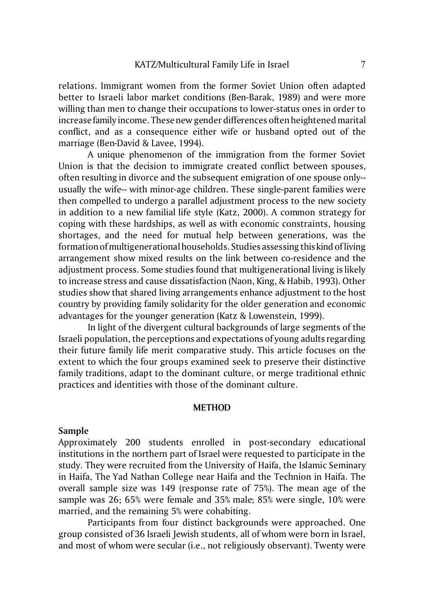relations. Immigrant women from the former Soviet Union often adapted better to Israeli labor market conditions (Ben-Barak, 1989) and were more willing than men to change their occupations to lower-status ones in order to increasefamily income. These new gender differences often heightened marital conflict, and as a consequence either wife or husband opted out of the marriage (Ben-David & Lavee, 1994).

A unique phenomenon of the immigration from the former Soviet Union is that the decision to immigrate created conflict between spouses, often resulting in divorce and the subsequent emigration of one spouse only- usually the wife-- with minor-age children. These single-parent families were then compelled to undergo a parallel adjustment process to the new society in addition to a new familial life style (Katz, 2000). A common strategy for coping with these hardships, as well as with economic constraints, housing shortages, and the need for mutual help between generations, was the formation of multigenerational households. Studies assessing thiskind of living arrangement show mixed results on the link between co-residence and the adjustment process. Some studies found that multigenerational living is likely to increase stress and cause dissatisfaction (Naon, King, & Habib, 1993). Other studies show that shared living arrangements enhance adjustment to the host country by providing family solidarity for the older generation and economic advantages for the younger generation (Katz & Lowenstein, 1999).

In light of the divergent cultural backgrounds of large segments of the Israeli population, the perceptions and expectations of young adults regarding their future family life merit comparative study. This article focuses on the extent to which the four groups examined seek to preserve their distinctive family traditions, adapt to the dominant culture, or merge traditional ethnic practices and identities with those of the dominant culture.

### **METHOD**

#### **Sample**

Approximately 200 students enrolled in post-secondary educational institutions in the northern part of Israel were requested to participate in the study. They were recruited from the University of Haifa, the Islamic Seminary in Haifa, The Yad Nathan College near Haifa and the Technion in Haifa. The overall sample size was 149 (response rate of 75%). The mean age of the sample was 26; 65% were female and 35% male; 85% were single, 10% were married, and the remaining 5% were cohabiting.

Participants from four distinct backgrounds were approached. One group consisted of 36 Israeli Jewish students, all of whom were born in Israel, and most of whom were secular (i.e., not religiously observant). Twenty were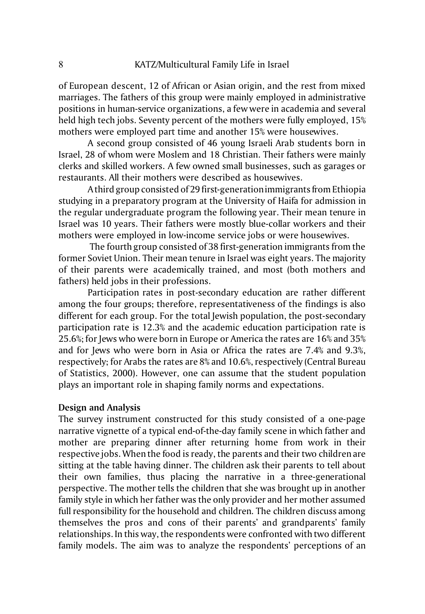of European descent, 12 of African or Asian origin, and the rest from mixed marriages. The fathers of this group were mainly employed in administrative positions in human-service organizations, a few were in academia and several held high tech jobs. Seventy percent of the mothers were fully employed, 15% mothers were employed part time and another 15% were housewives.

A second group consisted of 46 young Israeli Arab students born in Israel, 28 of whom were Moslem and 18 Christian. Their fathers were mainly clerks and skilled workers. A few owned small businesses, such as garages or restaurants. All their mothers were described as housewives.

A third group consisted of 29 first-generation immigrants from Ethiopia studying in a preparatory program at the University of Haifa for admission in the regular undergraduate program the following year. Their mean tenure in Israel was 10 years. Their fathers were mostly blue-collar workers and their mothers were employed in low-income service jobs or were housewives.

 The fourth group consisted of 38 first-generation immigrants from the former Soviet Union. Their mean tenure in Israel was eight years. The majority of their parents were academically trained, and most (both mothers and fathers) held jobs in their professions.

Participation rates in post-secondary education are rather different among the four groups; therefore, representativeness of the findings is also different for each group. For the total Jewish population, the post-secondary participation rate is 12.3% and the academic education participation rate is 25.6%; for Jews who were born in Europe or America the rates are 16% and 35% and for Jews who were born in Asia or Africa the rates are 7.4% and 9.3%, respectively; for Arabs the rates are 8% and 10.6%, respectively (Central Bureau of Statistics, 2000). However, one can assume that the student population plays an important role in shaping family norms and expectations.

## **Design and Analysis**

The survey instrument constructed for this study consisted of a one-page narrative vignette of a typical end-of-the-day family scene in which father and mother are preparing dinner after returning home from work in their respective jobs. When the food is ready, the parents and their two children are sitting at the table having dinner. The children ask their parents to tell about their own families, thus placing the narrative in a three-generational perspective. The mother tells the children that she was brought up in another family style in which her father was the only provider and her mother assumed full responsibility for the household and children. The children discuss among themselves the pros and cons of their parents' and grandparents' family relationships. In this way, the respondents were confronted with two different family models**.** The aim was to analyze the respondents' perceptions of an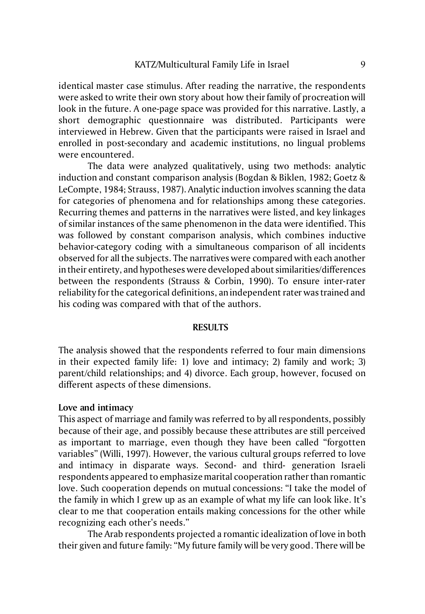identical master case stimulus. After reading the narrative, the respondents were asked to write their own story about how their family of procreation will look in the future. A one-page space was provided for this narrative. Lastly, a short demographic questionnaire was distributed. Participants were interviewed in Hebrew. Given that the participants were raised in Israel and enrolled in post-secondary and academic institutions, no lingual problems were encountered.

The data were analyzed qualitatively, using two methods: analytic induction and constant comparison analysis (Bogdan & Biklen, 1982; Goetz & LeCompte, 1984; Strauss, 1987). Analytic induction involves scanning the data for categories of phenomena and for relationships among these categories. Recurring themes and patterns in the narratives were listed, and key linkages of similar instances of the same phenomenon in the data were identified. This was followed by constant comparison analysis, which combines inductive behavior-category coding with a simultaneous comparison of all incidents observed for all the subjects. The narratives were compared with each another in their entirety, and hypotheses were developed about similarities/differences between the respondents (Strauss & Corbin, 1990). To ensure inter-rater reliability for the categorical definitions, an independent rater was trained and his coding was compared with that of the authors.

### **RESULTS**

The analysis showed that the respondents referred to four main dimensions in their expected family life: 1) love and intimacy; 2) family and work; 3) parent/child relationships; and 4) divorce. Each group, however, focused on different aspects of these dimensions.

## **Love and intimacy**

This aspect of marriage and family was referred to by all respondents, possibly because of their age, and possibly because these attributes are still perceived as important to marriage, even though they have been called "forgotten variables" (Willi, 1997). However, the various cultural groups referred to love and intimacy in disparate ways. Second- and third- generation Israeli respondents appeared to emphasize marital cooperation rather than romantic love. Such cooperation depends on mutual concessions: "I take the model of the family in which I grew up as an example of what my life can look like. It's clear to me that cooperation entails making concessions for the other while recognizing each other's needs."

The Arab respondents projected a romantic idealization of love in both their given and future family: "My future family will be very good. There will be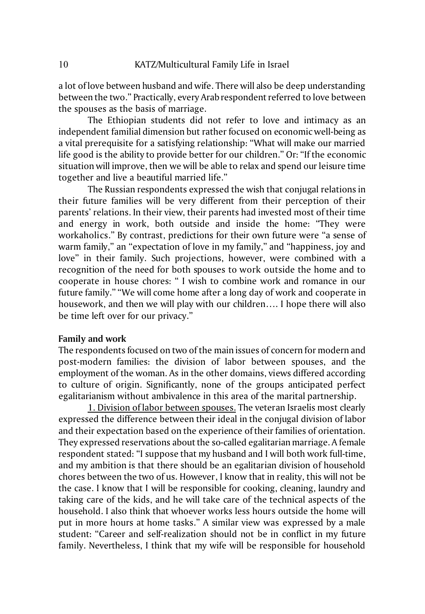a lot of love between husband and wife. There will also be deep understanding between the two." Practically, every Arab respondent referred to love between the spouses as the basis of marriage.

The Ethiopian students did not refer to love and intimacy as an independent familial dimension but rather focused on economic well-being as a vital prerequisite for a satisfying relationship: "What will make our married life good is the ability to provide better for our children." Or: "If the economic situation will improve, then we will be able to relax and spend our leisure time together and live a beautiful married life."

The Russian respondents expressed the wish that conjugal relations in their future families will be very different from their perception of their parents' relations. In their view, their parents had invested most of their time and energy in work, both outside and inside the home: "They were workaholics." By contrast, predictions for their own future were "a sense of warm family," an "expectation of love in my family," and "happiness, joy and love" in their family. Such projections, however, were combined with a recognition of the need for both spouses to work outside the home and to cooperate in house chores: " I wish to combine work and romance in our future family." "We will come home after a long day of work and cooperate in housework, and then we will play with our children…. I hope there will also be time left over for our privacy."

## **Family and work**

The respondents focused on two of the main issues of concern for modern and post-modern families: the division of labor between spouses, and the employment of the woman. As in the other domains, views differed according to culture of origin. Significantly, none of the groups anticipated perfect egalitarianism without ambivalence in this area of the marital partnership.

1. Division of labor between spouses. The veteran Israelis most clearly expressed the difference between their ideal in the conjugal division of labor and their expectation based on the experience of their families of orientation. They expressed reservations about the so-called egalitarian marriage. A female respondent stated: "I suppose that my husband and I will both work full-time, and my ambition is that there should be an egalitarian division of household chores between the two of us. However, I know that in reality, this will not be the case. I know that I will be responsible for cooking, cleaning, laundry and taking care of the kids, and he will take care of the technical aspects of the household. I also think that whoever works less hours outside the home will put in more hours at home tasks." A similar view was expressed by a male student: "Career and self-realization should not be in conflict in my future family. Nevertheless, I think that my wife will be responsible for household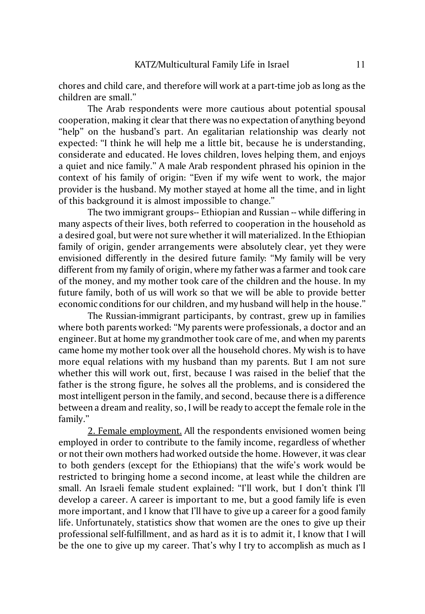chores and child care, and therefore will work at a part-time job as long as the children are small."

The Arab respondents were more cautious about potential spousal cooperation, making it clear that there was no expectation of anything beyond "help" on the husband's part. An egalitarian relationship was clearly not expected: "I think he will help me a little bit, because he is understanding, considerate and educated. He loves children, loves helping them, and enjoys a quiet and nice family." A male Arab respondent phrased his opinion in the context of his family of origin: "Even if my wife went to work, the major provider is the husband. My mother stayed at home all the time, and in light of this background it is almost impossible to change."

The two immigrant groups-- Ethiopian and Russian -- while differing in many aspects of their lives, both referred to cooperation in the household as a desired goal, but were not sure whether it will materialized. In the Ethiopian family of origin, gender arrangements were absolutely clear, yet they were envisioned differently in the desired future family: "My family will be very different from my family of origin, where my father was a farmer and took care of the money, and my mother took care of the children and the house. In my future family, both of us will work so that we will be able to provide better economic conditions for our children, and my husband will help in the house."

The Russian-immigrant participants, by contrast, grew up in families where both parents worked: "My parents were professionals, a doctor and an engineer. But at home my grandmother took care of me, and when my parents came home my mother took over all the household chores. My wish is to have more equal relations with my husband than my parents. But I am not sure whether this will work out, first, because I was raised in the belief that the father is the strong figure, he solves all the problems, and is considered the most intelligent person in the family, and second, because there is a difference between a dream and reality, so, I will be ready to accept the female role in the family."

2. Female employment. All the respondents envisioned women being employed in order to contribute to the family income, regardless of whether or not their own mothers had worked outside the home. However, it was clear to both genders (except for the Ethiopians) that the wife's work would be restricted to bringing home a second income, at least while the children are small. An Israeli female student explained: "I'll work, but I don't think I'll develop a career. A career is important to me, but a good family life is even more important, and I know that I'll have to give up a career for a good family life. Unfortunately, statistics show that women are the ones to give up their professional self-fulfillment, and as hard as it is to admit it, I know that I will be the one to give up my career. That's why I try to accomplish as much as I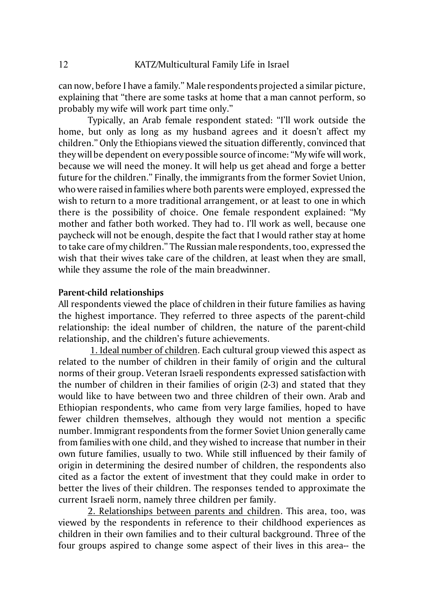can now, before I have a family." Male respondents projected a similar picture, explaining that "there are some tasks at home that a man cannot perform, so probably my wife will work part time only."

Typically, an Arab female respondent stated: "I'll work outside the home, but only as long as my husband agrees and it doesn't affect my children." Only the Ethiopians viewed the situation differently, convinced that they will be dependent on every possible source of income: "My wife will work, because we will need the money. It will help us get ahead and forge a better future for the children." Finally, the immigrants from the former Soviet Union, who were raised in families where both parents were employed, expressed the wish to return to a more traditional arrangement, or at least to one in which there is the possibility of choice. One female respondent explained: "My mother and father both worked. They had to. I'll work as well, because one paycheck will not be enough, despite the fact that I would rather stay at home to take care of my children." The Russian male respondents, too, expressed the wish that their wives take care of the children, at least when they are small, while they assume the role of the main breadwinner.

## **Parent-child relationships**

All respondents viewed the place of children in their future families as having the highest importance. They referred to three aspects of the parent-child relationship: the ideal number of children, the nature of the parent-child relationship, and the children's future achievements.

1. Ideal number of children. Each cultural group viewed this aspect as related to the number of children in their family of origin and the cultural norms of their group. Veteran Israeli respondents expressed satisfaction with the number of children in their families of origin (2-3) and stated that they would like to have between two and three children of their own. Arab and Ethiopian respondents, who came from very large families, hoped to have fewer children themselves, although they would not mention a specific number. Immigrant respondents from the former Soviet Union generally came from families with one child, and they wished to increase that number in their own future families, usually to two. While still influenced by their family of origin in determining the desired number of children, the respondents also cited as a factor the extent of investment that they could make in order to better the lives of their children. The responses tended to approximate the current Israeli norm, namely three children per family.

2. Relationships between parents and children. This area, too, was viewed by the respondents in reference to their childhood experiences as children in their own families and to their cultural background. Three of the four groups aspired to change some aspect of their lives in this area-- the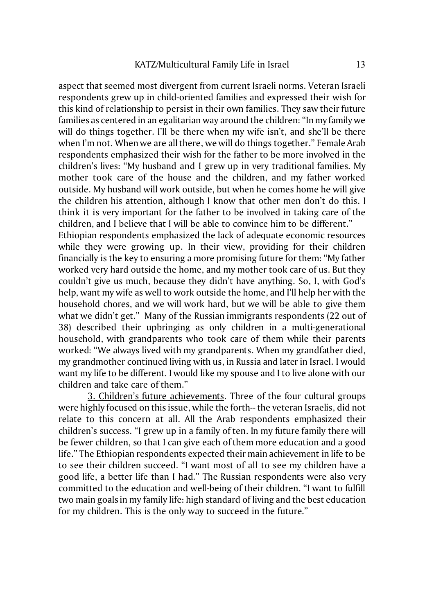aspect that seemed most divergent from current Israeli norms. Veteran Israeli respondents grew up in child-oriented families and expressed their wish for this kind of relationship to persist in their own families. They saw their future families as centered in an egalitarian way around the children: "In my family we will do things together. I'll be there when my wife isn't, and she'll be there when I'm not. When we are all there, we will do things together." Female Arab respondents emphasized their wish for the father to be more involved in the children's lives: "My husband and I grew up in very traditional families. My mother took care of the house and the children, and my father worked outside. My husband will work outside, but when he comes home he will give the children his attention, although I know that other men don't do this. I think it is very important for the father to be involved in taking care of the children, and I believe that I will be able to convince him to be different."

Ethiopian respondents emphasized the lack of adequate economic resources while they were growing up. In their view, providing for their children financially is the key to ensuring a more promising future for them: "My father worked very hard outside the home, and my mother took care of us. But they couldn't give us much, because they didn't have anything. So, I, with God's help, want my wife as well to work outside the home, and I'll help her with the household chores, and we will work hard, but we will be able to give them what we didn't get." Many of the Russian immigrants respondents (22 out of 38) described their upbringing as only children in a multi-generational household, with grandparents who took care of them while their parents worked: "We always lived with my grandparents. When my grandfather died, my grandmother continued living with us, in Russia and later in Israel. I would want my life to be different. I would like my spouse and I to live alone with our children and take care of them."

3. Children's future achievements. Three of the four cultural groups were highly focused on this issue, while the forth-- the veteran Israelis, did not relate to this concern at all. All the Arab respondents emphasized their children's success. "I grew up in a family of ten. In my future family there will be fewer children, so that I can give each of them more education and a good life." The Ethiopian respondents expected their main achievement in life to be to see their children succeed. "I want most of all to see my children have a good life, a better life than I had." The Russian respondents were also very committed to the education and well-being of their children. "I want to fulfill two main goals in my family life: high standard of living and the best education for my children. This is the only way to succeed in the future."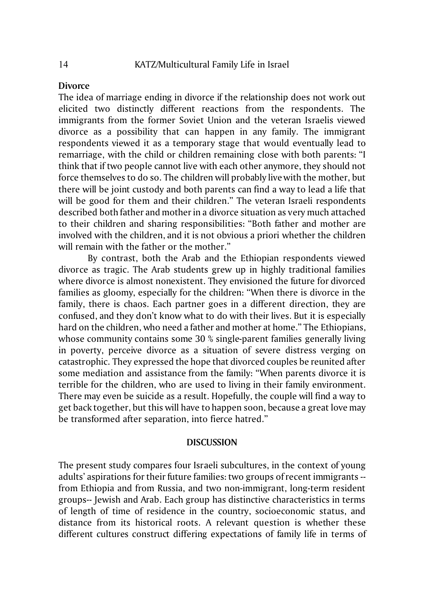## **Divorce**

The idea of marriage ending in divorce if the relationship does not work out elicited two distinctly different reactions from the respondents. The immigrants from the former Soviet Union and the veteran Israelis viewed divorce as a possibility that can happen in any family. The immigrant respondents viewed it as a temporary stage that would eventually lead to remarriage, with the child or children remaining close with both parents: "I think that if two people cannot live with each other anymore, they should not force themselves to do so. The children will probably live with the mother, but there will be joint custody and both parents can find a way to lead a life that will be good for them and their children." The veteran Israeli respondents described both father and mother in a divorce situation as very much attached to their children and sharing responsibilities: "Both father and mother are involved with the children, and it is not obvious a priori whether the children will remain with the father or the mother."

By contrast, both the Arab and the Ethiopian respondents viewed divorce as tragic. The Arab students grew up in highly traditional families where divorce is almost nonexistent. They envisioned the future for divorced families as gloomy, especially for the children: "When there is divorce in the family, there is chaos. Each partner goes in a different direction, they are confused, and they don't know what to do with their lives. But it is especially hard on the children, who need a father and mother at home." The Ethiopians, whose community contains some 30 % single-parent families generally living in poverty, perceive divorce as a situation of severe distress verging on catastrophic. They expressed the hope that divorced couples be reunited after some mediation and assistance from the family: "When parents divorce it is terrible for the children, who are used to living in their family environment. There may even be suicide as a result. Hopefully, the couple will find a way to get back together, but this will have to happen soon, because a great love may be transformed after separation, into fierce hatred."

## **DISCUSSION**

The present study compares four Israeli subcultures, in the context of young adults' aspirations for their future families: two groups of recent immigrants - from Ethiopia and from Russia, and two non-immigrant, long-term resident groups-- Jewish and Arab. Each group has distinctive characteristics in terms of length of time of residence in the country, socioeconomic status, and distance from its historical roots. A relevant question is whether these different cultures construct differing expectations of family life in terms of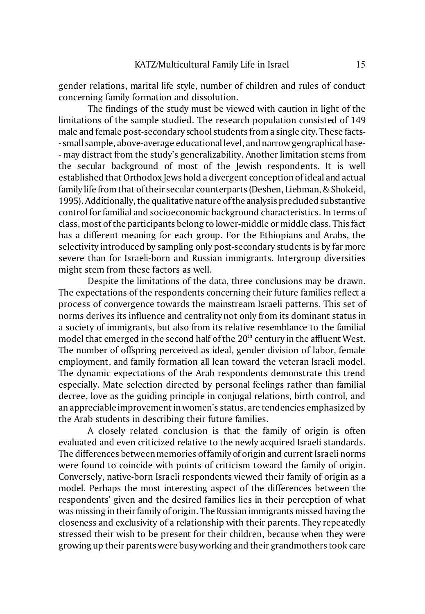gender relations, marital life style, number of children and rules of conduct concerning family formation and dissolution.

The findings of the study must be viewed with caution in light of the limitations of the sample studied. The research population consisted of 149 male and female post-secondary school students from a single city. These facts- - small sample, above-average educational level, and narrow geographical base- - may distract from the study's generalizability. Another limitation stems from the secular background of most of the Jewish respondents. It is well established that Orthodox Jews hold a divergent conception of ideal and actual family life from that of their secular counterparts (Deshen, Liebman, & Shokeid, 1995). Additionally, the qualitative nature of the analysis precluded substantive control for familial and socioeconomic background characteristics. In terms of class, most of the participants belong to lower-middle or middle class. This fact has a different meaning for each group. For the Ethiopians and Arabs, the selectivity introduced by sampling only post-secondary students is by far more severe than for Israeli-born and Russian immigrants. Intergroup diversities might stem from these factors as well.

Despite the limitations of the data, three conclusions may be drawn. The expectations of the respondents concerning their future families reflect a process of convergence towards the mainstream Israeli patterns. This set of norms derives its influence and centrality not only from its dominant status in a society of immigrants, but also from its relative resemblance to the familial model that emerged in the second half of the  $20<sup>th</sup>$  century in the affluent West. The number of offspring perceived as ideal, gender division of labor, female employment, and family formation all lean toward the veteran Israeli model. The dynamic expectations of the Arab respondents demonstrate this trend especially. Mate selection directed by personal feelings rather than familial decree, love as the guiding principle in conjugal relations, birth control, and an appreciable improvement in women's status, are tendencies emphasized by the Arab students in describing their future families.

A closely related conclusion is that the family of origin is often evaluated and even criticized relative to the newly acquired Israeli standards. The differences between memories of family of origin and current Israeli norms were found to coincide with points of criticism toward the family of origin. Conversely, native-born Israeli respondents viewed their family of origin as a model. Perhaps the most interesting aspect of the differences between the respondents' given and the desired families lies in their perception of what was missing in their family of origin. The Russian immigrants missed having the closeness and exclusivity of a relationship with their parents. They repeatedly stressed their wish to be present for their children, because when they were growing up their parents were busy working and their grandmothers took care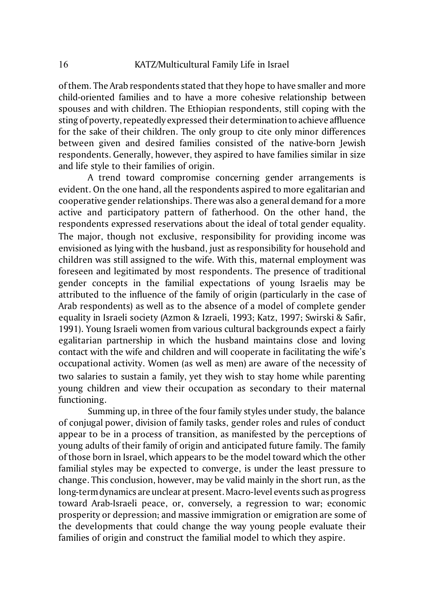of them. The Arab respondents stated that they hope to have smaller and more child-oriented families and to have a more cohesive relationship between spouses and with children. The Ethiopian respondents, still coping with the sting of poverty, repeatedly expressed their determination to achieve affluence for the sake of their children. The only group to cite only minor differences between given and desired families consisted of the native-born Jewish respondents. Generally, however, they aspired to have families similar in size and life style to their families of origin.

A trend toward compromise concerning gender arrangements is evident. On the one hand, all the respondents aspired to more egalitarian and cooperative gender relationships. There was also a general demand for a more active and participatory pattern of fatherhood. On the other hand, the respondents expressed reservations about the ideal of total gender equality. The major, though not exclusive, responsibility for providing income was envisioned as lying with the husband, just as responsibility for household and children was still assigned to the wife. With this, maternal employment was foreseen and legitimated by most respondents. The presence of traditional gender concepts in the familial expectations of young Israelis may be attributed to the influence of the family of origin (particularly in the case of Arab respondents) as well as to the absence of a model of complete gender equality in Israeli society (Azmon & Izraeli, 1993; Katz, 1997; Swirski & Safir, 1991). Young Israeli women from various cultural backgrounds expect a fairly egalitarian partnership in which the husband maintains close and loving contact with the wife and children and will cooperate in facilitating the wife's occupational activity. Women (as well as men) are aware of the necessity of two salaries to sustain a family, yet they wish to stay home while parenting young children and view their occupation as secondary to their maternal functioning.

Summing up, in three of the four family styles under study, the balance of conjugal power, division of family tasks, gender roles and rules of conduct appear to be in a process of transition, as manifested by the perceptions of young adults of their family of origin and anticipated future family. The family of those born in Israel, which appears to be the model toward which the other familial styles may be expected to converge, is under the least pressure to change. This conclusion, however, may be valid mainly in the short run, as the long-term dynamics are unclear at present. Macro-level events such as progress toward Arab-Israeli peace, or, conversely, a regression to war; economic prosperity or depression; and massive immigration or emigration are some of the developments that could change the way young people evaluate their families of origin and construct the familial model to which they aspire.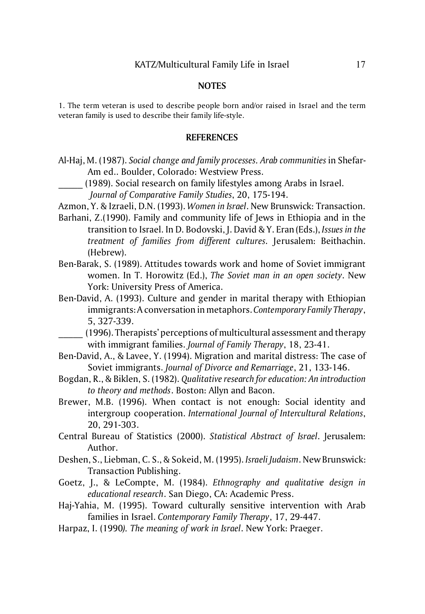#### **NOTES**

1. The term veteran is used to describe people born and/or raised in Israel and the term veteran family is used to describe their family life-style.

#### **REFERENCES**

- Al-Haj, M. (1987). *Social change and family processes. Arab communities* in Shefar-Am ed.. Boulder, Colorado: Westview Press.
- \_\_\_\_\_ (1989). Social research on family lifestyles among Arabs in Israel. *Journal of Comparative Family Studies*, 20, 175-194.
- Azmon, Y. & Izraeli, D.N. (1993). *Women in Israel*. New Brunswick: Transaction.
- Barhani, Z.(1990). Family and community life of Jews in Ethiopia and in the transition to Israel. In D. Bodovski, J. David & Y. Eran (Eds.), *Issues in the treatment of families from different cultures*. Jerusalem: Beithachin. (Hebrew).
- Ben-Barak, S. (1989). Attitudes towards work and home of Soviet immigrant women. In T. Horowitz (Ed.), *The Soviet man in an open society*. New York: University Press of America.
- Ben-David, A. (1993). Culture and gender in marital therapy with Ethiopian immigrants: A conversation in metaphors. *Contemporary Family Therapy*, 5, 327-339.
- \_\_\_\_\_ (1996). Therapists' perceptions of multicultural assessment and therapy with immigrant families. *Journal of Family Therapy*, 18, 23-41.
- Ben-David, A., & Lavee, Y. (1994). Migration and marital distress: The case of Soviet immigrants. *Journal of Divorce and Remarriage*, 21, 133-146.
- Bogdan, R., & Biklen, S. (1982). *Qualitative research for education: An introduction to theory and methods*. Boston: Allyn and Bacon.
- Brewer, M.B. (1996). When contact is not enough: Social identity and intergroup cooperation. *International Journal of Intercultural Relations*, 20, 291-303.
- Central Bureau of Statistics (2000). *Statistical Abstract of Israel*. Jerusalem: Author.
- Deshen, S., Liebman, C. S., & Sokeid, M. (1995). *Israeli Judaism*. New Brunswick: Transaction Publishing.
- Goetz, J., & LeCompte, M. (1984). *Ethnography and qualitative design in educational research*. San Diego, CA: Academic Press.
- Haj-Yahia, M. (1995). Toward culturally sensitive intervention with Arab families in Israel. *Contemporary Family Therapy*, 17, 29-447.
- Harpaz, I. (1990*). The meaning of work in Israel*. New York: Praeger.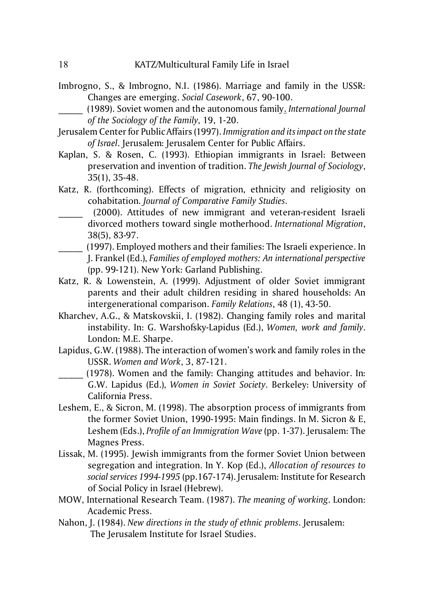- Imbrogno, S., & Imbrogno, N.I. (1986). Marriage and family in the USSR: Changes are emerging. *Social Casework*, 67, 90-100.
	- \_\_\_\_\_ (1989). Soviet women and the autonomous family. *International Journal of the Sociology of the Family*, 19, 1-20.
- Jerusalem Center for Public Affairs (1997). *Immigration and its impact on the state of Israel*. Jerusalem: Jerusalem Center for Public Affairs.
- Kaplan, S. & Rosen, C. (1993). Ethiopian immigrants in Israel: Between preservation and invention of tradition. *The Jewish Journal of Sociology*, 35(1), 35-48.
- Katz, R. (forthcoming). Effects of migration, ethnicity and religiosity on cohabitation. *Journal of Comparative Family Studies*.
	- (2000). Attitudes of new immigrant and veteran-resident Israeli divorced mothers toward single motherhood. *International Migration*, 38(5), 83-97.
- \_\_\_\_\_ (1997). Employed mothers and their families: The Israeli experience. In J. Frankel (Ed.), *Families of employed mothers: An international perspective* (pp. 99-121). New York: Garland Publishing.
- Katz, R. & Lowenstein, A. (1999). Adjustment of older Soviet immigrant parents and their adult children residing in shared households: An intergenerational comparison. *Family Relations*, 48 (1), 43-50.
- Kharchev, A.G., & Matskovskii, I. (1982). Changing family roles and marital instability. In: G. Warshofsky-Lapidus (Ed.), *Women, work and family*. London: M.E. Sharpe.
- Lapidus, G.W. (1988). The interaction of women's work and family roles in the USSR. *Women and Work*, 3, 87-121.
	- (1978). Women and the family: Changing attitudes and behavior. In: G.W. Lapidus (Ed.), *Women in Soviet Society*. Berkeley: University of California Press.
- Leshem, E., & Sicron, M. (1998). The absorption process of immigrants from the former Soviet Union, 1990-1995: Main findings. In M. Sicron & E, Leshem (Eds.), *Profile of an Immigration Wave* (pp. 1-37). Jerusalem: The Magnes Press.
- Lissak, M. (1995). Jewish immigrants from the former Soviet Union between segregation and integration. In Y. Kop (Ed.), *Allocation of resources to social services 1994-1995* (pp.167-174). Jerusalem: Institute for Research of Social Policy in Israel (Hebrew).
- MOW, International Research Team. (1987). *The meaning of working*. London: Academic Press.
- Nahon, J. (1984). *New directions in the study of ethnic problems*. Jerusalem: The Jerusalem Institute for Israel Studies.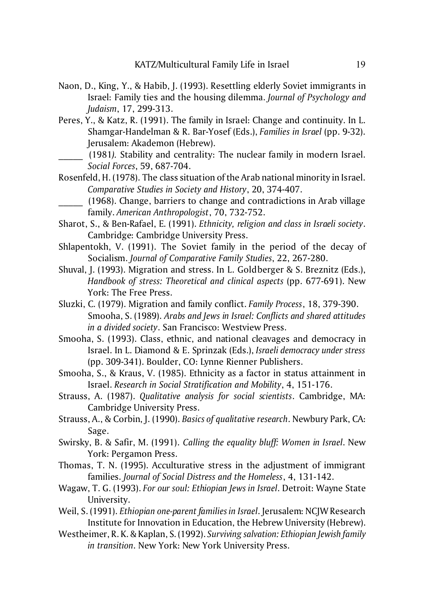- Naon, D., King, Y., & Habib, J. (1993). Resettling elderly Soviet immigrants in Israel: Family ties and the housing dilemma. *Journal of Psychology and Judaism*, 17, 299-313.
- Peres, Y., & Katz, R. (1991). The family in Israel: Change and continuity. In L. Shamgar-Handelman & R. Bar-Yosef (Eds.), *Families in Israel* (pp. 9-32). Jerusalem: Akademon (Hebrew).
	- \_\_\_\_\_ (1981*).* Stability and centrality: The nuclear family in modern Israel. *Social Forces*, 59, 687-704.
- Rosenfeld, H. (1978). The class situation of the Arab national minority in Israel. *Comparative Studies in Society and History*, 20, 374-407.
- \_\_\_\_\_ (1968). Change, barriers to change and contradictions in Arab village family. *American Anthropologist*, 70, 732-752.
- Sharot, S., & Ben-Rafael, E. (1991). *Ethnicity, religion and class in Israeli society*. Cambridge: Cambridge University Press.
- Shlapentokh, V. (1991). The Soviet family in the period of the decay of Socialism. *Journal of Comparative Family Studies*, 22, 267-280.
- Shuval, J. (1993). Migration and stress. In L. Goldberger & S. Breznitz (Eds.), *Handbook of stress: Theoretical and clinical aspects* (pp. 677-691). New York: The Free Press.
- Sluzki, C. (1979). Migration and family conflict. *Family Process*, 18, 379-390. Smooha, S. (1989). *Arabs and Jews in Israel: Conflicts and shared attitudes in a divided society*. San Francisco: Westview Press.
- Smooha, S. (1993). Class, ethnic, and national cleavages and democracy in Israel. In L. Diamond & E. Sprinzak (Eds.), *Israeli democracy under stress* (pp. 309-341). Boulder, CO: Lynne Rienner Publishers.
- Smooha, S., & Kraus, V. (1985). Ethnicity as a factor in status attainment in Israel. *Research in Social Stratification and Mobility*, 4, 151-176.
- Strauss, A. (1987). *Qualitative analysis for social scientists*. Cambridge, MA: Cambridge University Press.
- Strauss, A., & Corbin, J. (1990). *Basics of qualitative research*. Newbury Park, CA: Sage.
- Swirsky, B. & Safir, M. (1991). *Calling the equality bluff: Women in Israel*. New York: Pergamon Press.
- Thomas, T. N. (1995). Acculturative stress in the adjustment of immigrant families. *Journal of Social Distress and the Homeless*, 4, 131-142.
- Wagaw, T. G. (1993). *For our soul: Ethiopian Jews in Israel*. Detroit: Wayne State University.
- Weil, S. (1991). *Ethiopian one-parent families in Israel*. Jerusalem: NCJW Research Institute for Innovation in Education, the Hebrew University (Hebrew).
- Westheimer, R. K. & Kaplan, S. (1992). *Surviving salvation: Ethiopian Jewish family in transition*. New York: New York University Press.